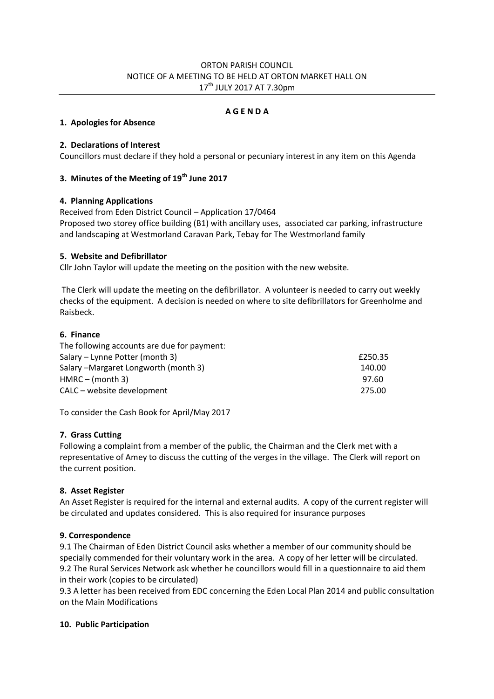## ORTON PARISH COUNCIL NOTICE OF A MEETING TO BE HELD AT ORTON MARKET HALL ON 17th JULY 2017 AT 7.30pm

### **A G E N D A**

#### **1. Apologies for Absence**

### **2. Declarations of Interest**

Councillors must declare if they hold a personal or pecuniary interest in any item on this Agenda

# **3. Minutes of the Meeting of 19th June 2017**

### **4. Planning Applications**

Received from Eden District Council – Application 17/0464 Proposed two storey office building (B1) with ancillary uses, associated car parking, infrastructure and landscaping at Westmorland Caravan Park, Tebay for The Westmorland family

### **5. Website and Defibrillator**

Cllr John Taylor will update the meeting on the position with the new website.

The Clerk will update the meeting on the defibrillator. A volunteer is needed to carry out weekly checks of the equipment. A decision is needed on where to site defibrillators for Greenholme and Raisbeck.

### **6. Finance**

| The following accounts are due for payment: |         |
|---------------------------------------------|---------|
| Salary – Lynne Potter (month 3)             | £250.35 |
| Salary – Margaret Longworth (month 3)       | 140.00  |
| $HMRC - (month 3)$                          | 97.60   |
| CALC – website development                  | 275.00  |

To consider the Cash Book for April/May 2017

# **7. Grass Cutting**

Following a complaint from a member of the public, the Chairman and the Clerk met with a representative of Amey to discuss the cutting of the verges in the village. The Clerk will report on the current position.

# **8. Asset Register**

An Asset Register is required for the internal and external audits. A copy of the current register will be circulated and updates considered. This is also required for insurance purposes

# **9. Correspondence**

9.1 The Chairman of Eden District Council asks whether a member of our community should be specially commended for their voluntary work in the area. A copy of her letter will be circulated. 9.2 The Rural Services Network ask whether he councillors would fill in a questionnaire to aid them in their work (copies to be circulated)

9.3 A letter has been received from EDC concerning the Eden Local Plan 2014 and public consultation on the Main Modifications

#### **10. Public Participation**